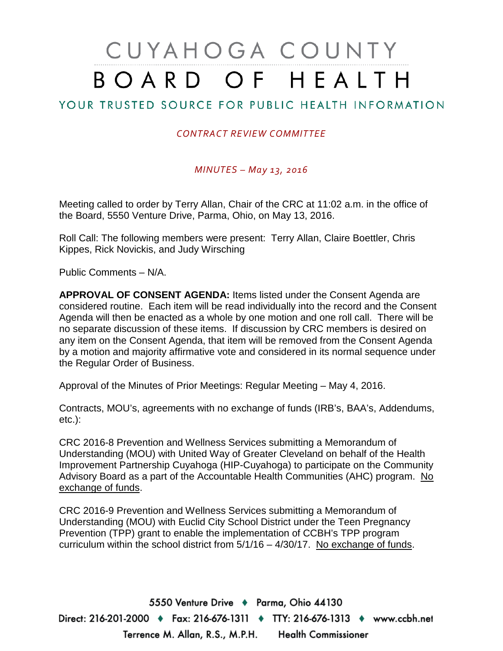# CUYAHOGA COUNTY BOARD OF HEALTH

# YOUR TRUSTED SOURCE FOR PUBLIC HEALTH INFORMATION

## *CONTRACT REVIEW COMMITTEE*

## *MINUTES – May 13, 2016*

Meeting called to order by Terry Allan, Chair of the CRC at 11:02 a.m. in the office of the Board, 5550 Venture Drive, Parma, Ohio, on May 13, 2016.

Roll Call: The following members were present: Terry Allan, Claire Boettler, Chris Kippes, Rick Novickis, and Judy Wirsching

Public Comments – N/A.

**APPROVAL OF CONSENT AGENDA:** Items listed under the Consent Agenda are considered routine. Each item will be read individually into the record and the Consent Agenda will then be enacted as a whole by one motion and one roll call. There will be no separate discussion of these items. If discussion by CRC members is desired on any item on the Consent Agenda, that item will be removed from the Consent Agenda by a motion and majority affirmative vote and considered in its normal sequence under the Regular Order of Business.

Approval of the Minutes of Prior Meetings: Regular Meeting – May 4, 2016.

Contracts, MOU's, agreements with no exchange of funds (IRB's, BAA's, Addendums, etc.):

CRC 2016-8 Prevention and Wellness Services submitting a Memorandum of Understanding (MOU) with United Way of Greater Cleveland on behalf of the Health Improvement Partnership Cuyahoga (HIP-Cuyahoga) to participate on the Community Advisory Board as a part of the Accountable Health Communities (AHC) program. No exchange of funds.

CRC 2016-9 Prevention and Wellness Services submitting a Memorandum of Understanding (MOU) with Euclid City School District under the Teen Pregnancy Prevention (TPP) grant to enable the implementation of CCBH's TPP program curriculum within the school district from 5/1/16 – 4/30/17. No exchange of funds.

5550 Venture Drive + Parma, Ohio 44130 Direct: 216-201-2000 ♦ Fax: 216-676-1311 ♦ TTY: 216-676-1313 ♦ www.ccbh.net Terrence M. Allan, R.S., M.P.H. Health Commissioner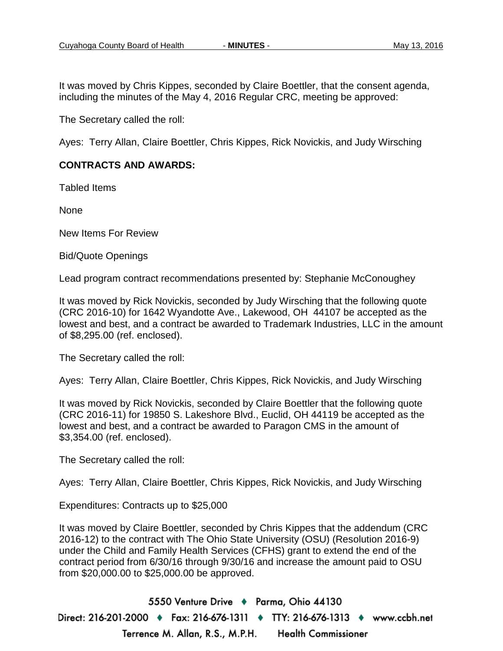It was moved by Chris Kippes, seconded by Claire Boettler, that the consent agenda, including the minutes of the May 4, 2016 Regular CRC, meeting be approved:

The Secretary called the roll:

Ayes: Terry Allan, Claire Boettler, Chris Kippes, Rick Novickis, and Judy Wirsching

### **CONTRACTS AND AWARDS:**

Tabled Items

None

New Items For Review

Bid/Quote Openings

Lead program contract recommendations presented by: Stephanie McConoughey

It was moved by Rick Novickis, seconded by Judy Wirsching that the following quote (CRC 2016-10) for 1642 Wyandotte Ave., Lakewood, OH 44107 be accepted as the lowest and best, and a contract be awarded to Trademark Industries, LLC in the amount of \$8,295.00 (ref. enclosed).

The Secretary called the roll:

Ayes: Terry Allan, Claire Boettler, Chris Kippes, Rick Novickis, and Judy Wirsching

It was moved by Rick Novickis, seconded by Claire Boettler that the following quote (CRC 2016-11) for 19850 S. Lakeshore Blvd., Euclid, OH 44119 be accepted as the lowest and best, and a contract be awarded to Paragon CMS in the amount of \$3,354.00 (ref. enclosed).

The Secretary called the roll:

Ayes: Terry Allan, Claire Boettler, Chris Kippes, Rick Novickis, and Judy Wirsching

Expenditures: Contracts up to \$25,000

It was moved by Claire Boettler, seconded by Chris Kippes that the addendum (CRC 2016-12) to the contract with The Ohio State University (OSU) (Resolution 2016-9) under the Child and Family Health Services (CFHS) grant to extend the end of the contract period from 6/30/16 through 9/30/16 and increase the amount paid to OSU from \$20,000.00 to \$25,000.00 be approved.

5550 Venture Drive + Parma, Ohio 44130 Direct: 216-201-2000 ♦ Fax: 216-676-1311 ♦ TTY: 216-676-1313 ♦ www.ccbh.net Terrence M. Allan, R.S., M.P.H. **Health Commissioner**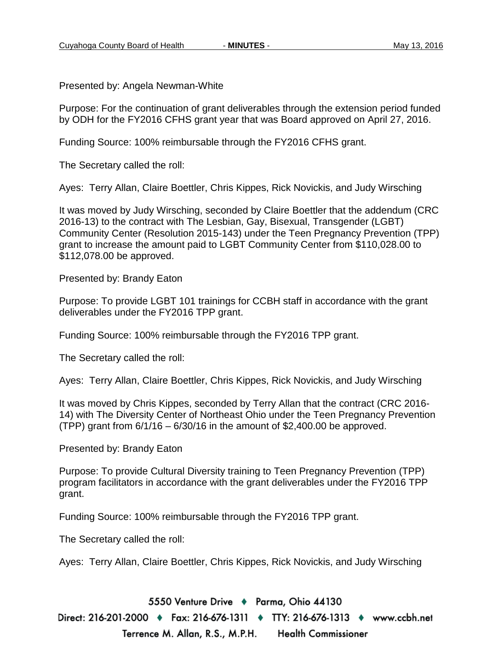Presented by: Angela Newman-White

Purpose: For the continuation of grant deliverables through the extension period funded by ODH for the FY2016 CFHS grant year that was Board approved on April 27, 2016.

Funding Source: 100% reimbursable through the FY2016 CFHS grant.

The Secretary called the roll:

Ayes: Terry Allan, Claire Boettler, Chris Kippes, Rick Novickis, and Judy Wirsching

It was moved by Judy Wirsching, seconded by Claire Boettler that the addendum (CRC 2016-13) to the contract with The Lesbian, Gay, Bisexual, Transgender (LGBT) Community Center (Resolution 2015-143) under the Teen Pregnancy Prevention (TPP) grant to increase the amount paid to LGBT Community Center from \$110,028.00 to \$112,078.00 be approved.

Presented by: Brandy Eaton

Purpose: To provide LGBT 101 trainings for CCBH staff in accordance with the grant deliverables under the FY2016 TPP grant.

Funding Source: 100% reimbursable through the FY2016 TPP grant.

The Secretary called the roll:

Ayes: Terry Allan, Claire Boettler, Chris Kippes, Rick Novickis, and Judy Wirsching

It was moved by Chris Kippes, seconded by Terry Allan that the contract (CRC 2016- 14) with The Diversity Center of Northeast Ohio under the Teen Pregnancy Prevention (TPP) grant from  $6/1/16 - 6/30/16$  in the amount of \$2,400.00 be approved.

Presented by: Brandy Eaton

Purpose: To provide Cultural Diversity training to Teen Pregnancy Prevention (TPP) program facilitators in accordance with the grant deliverables under the FY2016 TPP grant.

Funding Source: 100% reimbursable through the FY2016 TPP grant.

The Secretary called the roll:

Ayes: Terry Allan, Claire Boettler, Chris Kippes, Rick Novickis, and Judy Wirsching

5550 Venture Drive + Parma, Ohio 44130

Direct: 216-201-2000 ♦ Fax: 216-676-1311 ♦ TTY: 216-676-1313 ♦ www.ccbh.net Terrence M. Allan, R.S., M.P.H. **Health Commissioner**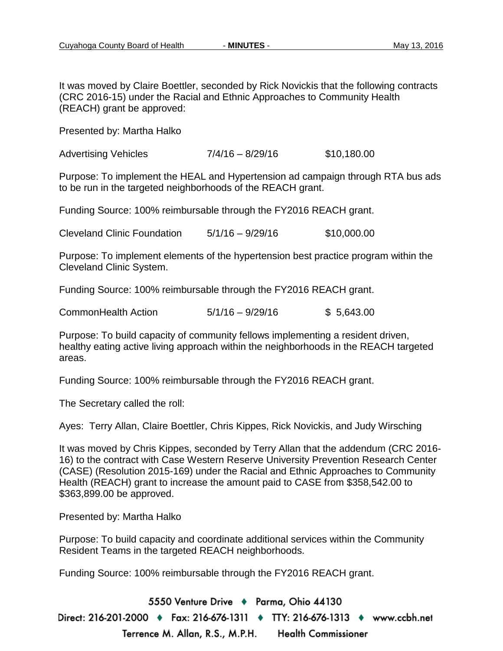It was moved by Claire Boettler, seconded by Rick Novickis that the following contracts (CRC 2016-15) under the Racial and Ethnic Approaches to Community Health (REACH) grant be approved:

Presented by: Martha Halko

Advertising Vehicles 7/4/16 – 8/29/16 \$10,180.00

Purpose: To implement the HEAL and Hypertension ad campaign through RTA bus ads to be run in the targeted neighborhoods of the REACH grant.

Funding Source: 100% reimbursable through the FY2016 REACH grant.

Cleveland Clinic Foundation 5/1/16 – 9/29/16 \$10,000.00

Purpose: To implement elements of the hypertension best practice program within the Cleveland Clinic System.

Funding Source: 100% reimbursable through the FY2016 REACH grant.

CommonHealth Action 5/1/16 – 9/29/16 \$ 5,643.00

Purpose: To build capacity of community fellows implementing a resident driven, healthy eating active living approach within the neighborhoods in the REACH targeted areas.

Funding Source: 100% reimbursable through the FY2016 REACH grant.

The Secretary called the roll:

Ayes: Terry Allan, Claire Boettler, Chris Kippes, Rick Novickis, and Judy Wirsching

It was moved by Chris Kippes, seconded by Terry Allan that the addendum (CRC 2016- 16) to the contract with Case Western Reserve University Prevention Research Center (CASE) (Resolution 2015-169) under the Racial and Ethnic Approaches to Community Health (REACH) grant to increase the amount paid to CASE from \$358,542.00 to \$363,899.00 be approved.

Presented by: Martha Halko

Purpose: To build capacity and coordinate additional services within the Community Resident Teams in the targeted REACH neighborhoods.

Funding Source: 100% reimbursable through the FY2016 REACH grant.

5550 Venture Drive + Parma, Ohio 44130 Direct: 216-201-2000 ♦ Fax: 216-676-1311 ♦ TTY: 216-676-1313 ♦ www.ccbh.net Terrence M. Allan, R.S., M.P.H. **Health Commissioner**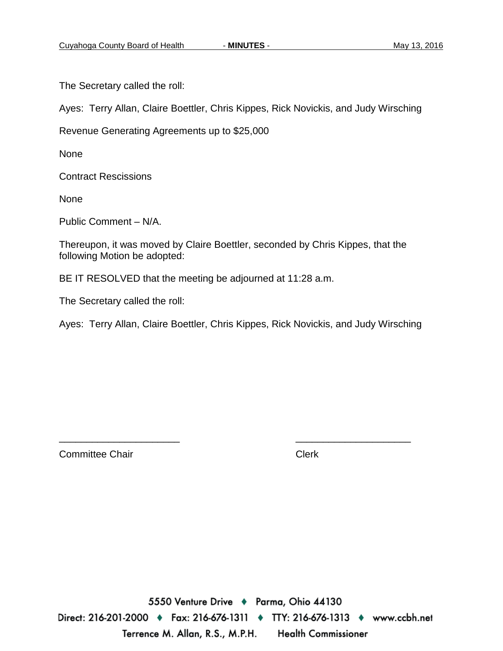The Secretary called the roll:

Ayes: Terry Allan, Claire Boettler, Chris Kippes, Rick Novickis, and Judy Wirsching

Revenue Generating Agreements up to \$25,000

None

Contract Rescissions

None

Public Comment – N/A.

Thereupon, it was moved by Claire Boettler, seconded by Chris Kippes, that the following Motion be adopted:

BE IT RESOLVED that the meeting be adjourned at 11:28 a.m.

The Secretary called the roll:

Ayes: Terry Allan, Claire Boettler, Chris Kippes, Rick Novickis, and Judy Wirsching

\_\_\_\_\_\_\_\_\_\_\_\_\_\_\_\_\_\_\_\_\_\_ \_\_\_\_\_\_\_\_\_\_\_\_\_\_\_\_\_\_\_\_\_

Committee Chair **Clerk** Clerk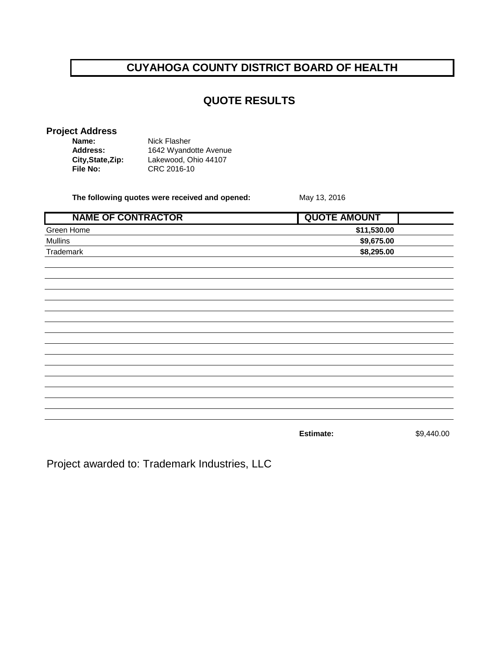# **CUYAHOGA COUNTY DISTRICT BOARD OF HEALTH**

## **QUOTE RESULTS**

### **Project Address**

| Name:             | Nick Flasher          |
|-------------------|-----------------------|
| <b>Address:</b>   | 1642 Wyandotte Avenue |
| City, State, Zip: | Lakewood, Ohio 44107  |
| File No:          | CRC 2016-10           |

**The following quotes were received and opened:** May 13, 2016

| <b>NAME OF CONTRACTOR</b> | <b>QUOTE AMOUNT</b> |            |
|---------------------------|---------------------|------------|
| Green Home                | \$11,530.00         |            |
| <b>Mullins</b>            | \$9,675.00          |            |
| Trademark                 | \$8,295.00          |            |
|                           |                     |            |
|                           |                     |            |
|                           |                     |            |
|                           |                     |            |
|                           |                     |            |
|                           |                     |            |
|                           |                     |            |
|                           |                     |            |
|                           |                     |            |
|                           |                     |            |
|                           |                     |            |
|                           |                     |            |
|                           |                     |            |
|                           |                     |            |
|                           | Estimate:           | \$9,440.00 |

Project awarded to: Trademark Industries, LLC